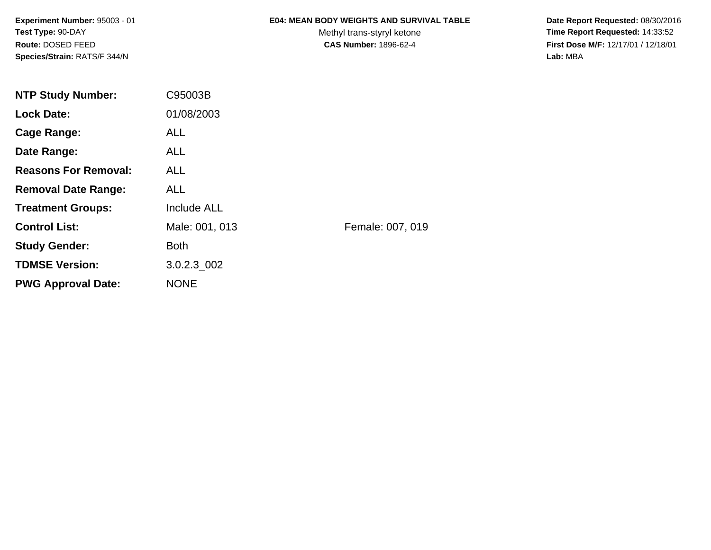## **E04: MEAN BODY WEIGHTS AND SURVIVAL TABLE**

Methyl trans-styryl ketone<br>CAS Number: 1896-62-4

 **Date Report Requested:** 08/30/2016 **Time Report Requested:** 14:33:52 **First Dose M/F:** 12/17/01 / 12/18/01<br>Lab: MBA **Lab:** MBA

| <b>NTP Study Number:</b>    | C95003B            |                  |
|-----------------------------|--------------------|------------------|
| <b>Lock Date:</b>           | 01/08/2003         |                  |
| Cage Range:                 | <b>ALL</b>         |                  |
| Date Range:                 | ALL.               |                  |
| <b>Reasons For Removal:</b> | <b>ALL</b>         |                  |
| <b>Removal Date Range:</b>  | <b>ALL</b>         |                  |
| <b>Treatment Groups:</b>    | <b>Include ALL</b> |                  |
| <b>Control List:</b>        | Male: 001, 013     | Female: 007, 019 |
| <b>Study Gender:</b>        | <b>Both</b>        |                  |
| <b>TDMSE Version:</b>       | $3.0.2.3\_002$     |                  |
| <b>PWG Approval Date:</b>   | <b>NONE</b>        |                  |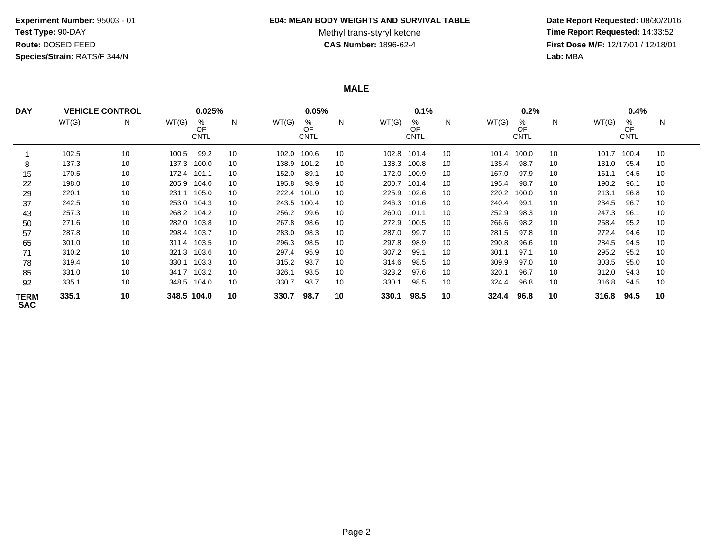#### **E04: MEAN BODY WEIGHTS AND SURVIVAL TABLE**

# Methyl trans-styryl ketone<br>CAS Number: 1896-62-4

 **Date Report Requested:** 08/30/2016 **Time Report Requested:** 14:33:52 **First Dose M/F:** 12/17/01 / 12/18/01<br>Lab: MBA **Lab:** MBA

**MALE**

| <b>DAY</b>                |       | <b>VEHICLE CONTROL</b> |       | 0.025%                 |    |       | 0.05%                  |    |       | 0.1%                   |    |       | 0.2%                   |    |       | 0.4%                   |    |
|---------------------------|-------|------------------------|-------|------------------------|----|-------|------------------------|----|-------|------------------------|----|-------|------------------------|----|-------|------------------------|----|
|                           | WT(G) | N                      | WT(G) | %<br>OF<br><b>CNTL</b> | N  | WT(G) | %<br>OF<br><b>CNTL</b> | N  | WT(G) | %<br>OF<br><b>CNTL</b> | N  | WT(G) | %<br>OF<br><b>CNTL</b> | N  | WT(G) | ℅<br>OF<br><b>CNTL</b> | N  |
|                           | 102.5 | 10                     | 100.5 | 99.2                   | 10 | 102.0 | 100.6                  | 10 | 102.8 | 101.4                  | 10 | 101.4 | 100.0                  | 10 | 101.7 | 100.4                  | 10 |
| 8                         | 137.3 | 10                     | 137.3 | 100.0                  | 10 | 138.9 | 101.2                  | 10 | 138.3 | 100.8                  | 10 | 135.4 | 98.7                   | 10 | 131.0 | 95.4                   | 10 |
| 15                        | 170.5 | 10                     | 172.4 | 101.1                  | 10 | 152.0 | 89.1                   | 10 | 172.0 | 100.9                  | 10 | 167.0 | 97.9                   | 10 | 161.1 | 94.5                   | 10 |
| 22                        | 198.0 | 10                     | 205.9 | 104.0                  | 10 | 195.8 | 98.9                   | 10 | 200.7 | 101.4                  | 10 | 195.4 | 98.7                   | 10 | 190.2 | 96.1                   | 10 |
| 29                        | 220.1 | 10                     | 231.1 | 105.0                  | 10 | 222.4 | 101.0                  | 10 | 225.9 | 102.6                  | 10 | 220.2 | 100.0                  | 10 | 213.1 | 96.8                   | 10 |
| 37                        | 242.5 | 10                     | 253.0 | 104.3                  | 10 | 243.5 | 100.4                  | 10 | 246.3 | 101.6                  | 10 | 240.4 | 99.1                   | 10 | 234.5 | 96.7                   | 10 |
| 43                        | 257.3 | 10                     | 268.2 | 104.2                  | 10 | 256.2 | 99.6                   | 10 | 260.0 | 101.1                  | 10 | 252.9 | 98.3                   | 10 | 247.3 | 96.1                   | 10 |
| 50                        | 271.6 | 10                     | 282.0 | 103.8                  | 10 | 267.8 | 98.6                   | 10 | 272.9 | 100.5                  | 10 | 266.6 | 98.2                   | 10 | 258.4 | 95.2                   | 10 |
| 57                        | 287.8 | 10                     | 298.4 | 103.7                  | 10 | 283.0 | 98.3                   | 10 | 287.0 | 99.7                   | 10 | 281.5 | 97.8                   | 10 | 272.4 | 94.6                   | 10 |
| 65                        | 301.0 | 10                     |       | 311.4 103.5            | 10 | 296.3 | 98.5                   | 10 | 297.8 | 98.9                   | 10 | 290.8 | 96.6                   | 10 | 284.5 | 94.5                   | 10 |
| 71                        | 310.2 | 10                     | 321.3 | 103.6                  | 10 | 297.4 | 95.9                   | 10 | 307.2 | 99.1                   | 10 | 301.1 | 97.1                   | 10 | 295.2 | 95.2                   | 10 |
| 78                        | 319.4 | 10                     | 330.1 | 103.3                  | 10 | 315.2 | 98.7                   | 10 | 314.6 | 98.5                   | 10 | 309.9 | 97.0                   | 10 | 303.5 | 95.0                   | 10 |
| 85                        | 331.0 | 10                     | 341.7 | 103.2                  | 10 | 326.1 | 98.5                   | 10 | 323.2 | 97.6                   | 10 | 320.1 | 96.7                   | 10 | 312.0 | 94.3                   | 10 |
| 92                        | 335.1 | 10                     | 348.5 | 104.0                  | 10 | 330.7 | 98.7                   | 10 | 330.1 | 98.5                   | 10 | 324.4 | 96.8                   | 10 | 316.8 | 94.5                   | 10 |
| <b>TERM</b><br><b>SAC</b> | 335.1 | 10                     |       | 348.5 104.0            | 10 | 330.7 | 98.7                   | 10 | 330.1 | 98.5                   | 10 | 324.4 | 96.8                   | 10 | 316.8 | 94.5                   | 10 |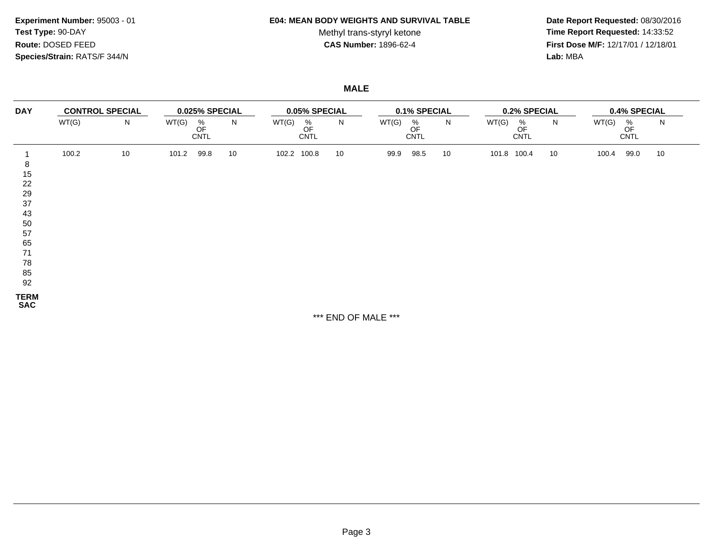### **E04: MEAN BODY WEIGHTS AND SURVIVAL TABLE**

Methyl trans-styryl ketone<br>CAS Number: 1896-62-4

 **Date Report Requested:** 08/30/2016 **Time Report Requested:** 14:33:52 **First Dose M/F:** 12/17/01 / 12/18/01<br>Lab: MBA **Lab:** MBA

**MALE**

| <b>DAY</b>                                                                | <b>CONTROL SPECIAL</b> |    |       | 0.025% SPECIAL            |    |       | 0.05% SPECIAL                         |    |       | 0.1% SPECIAL                          |    |       | 0.2% SPECIAL           |    |       |                        | 0.4% SPECIAL |  |  |  |  |
|---------------------------------------------------------------------------|------------------------|----|-------|---------------------------|----|-------|---------------------------------------|----|-------|---------------------------------------|----|-------|------------------------|----|-------|------------------------|--------------|--|--|--|--|
|                                                                           | WT(G)                  | N  | WT(G) | $\%$<br>OF<br><b>CNTL</b> | N  | WT(G) | $\frac{\%}{\text{OF}}$<br><b>CNTL</b> | N  | WT(G) | $\frac{\%}{\text{OF}}$<br><b>CNTL</b> | N  | WT(G) | %<br>OF<br><b>CNTL</b> | N  | WT(G) | %<br>OF<br><b>CNTL</b> | N            |  |  |  |  |
| 8<br>15<br>22<br>29<br>37<br>43<br>50<br>57<br>65<br>71<br>78<br>85<br>92 | 100.2                  | 10 | 101.2 | 99.8                      | 10 | 102.2 | 100.8                                 | 10 | 99.9  | 98.5                                  | 10 | 101.8 | 100.4                  | 10 | 100.4 | 99.0                   | 10           |  |  |  |  |
| <b>TERM</b><br><b>SAC</b>                                                 |                        |    |       |                           |    |       |                                       |    |       |                                       |    |       |                        |    |       |                        |              |  |  |  |  |

\*\*\* END OF MALE \*\*\*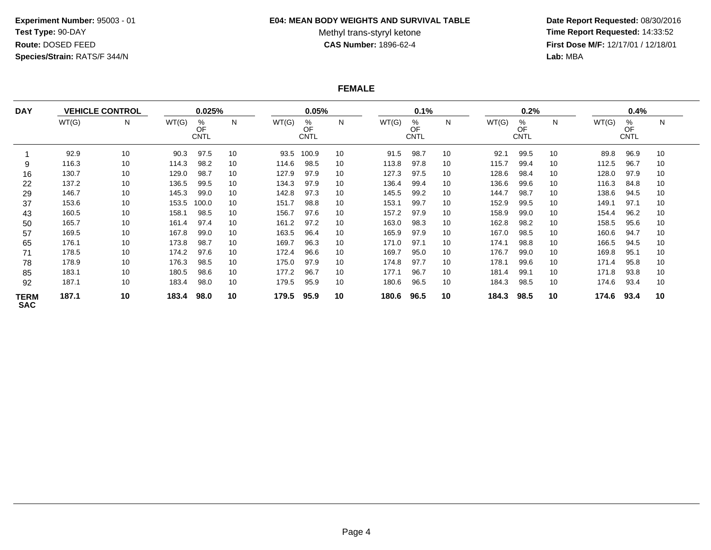#### **E04: MEAN BODY WEIGHTS AND SURVIVAL TABLE**

# Methyl trans-styryl ketone<br>CAS Number: 1896-62-4

 **Date Report Requested:** 08/30/2016 **Time Report Requested:** 14:33:52 **First Dose M/F:** 12/17/01 / 12/18/01<br>Lab: MBA **Lab:** MBA

# **FEMALE**

| <b>DAY</b>                |       | <b>VEHICLE CONTROL</b> |       | 0.025%                 |    |       | 0.05%                  |    |       | 0.1%                   |    |       | 0.2%                   |    |       | 0.4%                   |    |  |
|---------------------------|-------|------------------------|-------|------------------------|----|-------|------------------------|----|-------|------------------------|----|-------|------------------------|----|-------|------------------------|----|--|
|                           | WT(G) | N                      | WT(G) | %<br>OF<br><b>CNTL</b> | N  | WT(G) | %<br>OF<br><b>CNTL</b> | N  | WT(G) | %<br>OF<br><b>CNTL</b> | N  | WT(G) | %<br>OF<br><b>CNTL</b> | N  | WT(G) | %<br>OF<br><b>CNTL</b> | N  |  |
|                           | 92.9  | 10                     | 90.3  | 97.5                   | 10 | 93.5  | 100.9                  | 10 | 91.5  | 98.7                   | 10 | 92.1  | 99.5                   | 10 | 89.8  | 96.9                   | 10 |  |
| 9                         | 116.3 | 10                     | 114.3 | 98.2                   | 10 | 114.6 | 98.5                   | 10 | 113.8 | 97.8                   | 10 | 115.7 | 99.4                   | 10 | 112.5 | 96.7                   | 10 |  |
| 16                        | 130.7 | 10                     | 129.0 | 98.7                   | 10 | 127.9 | 97.9                   | 10 | 127.3 | 97.5                   | 10 | 128.6 | 98.4                   | 10 | 128.0 | 97.9                   | 10 |  |
| 22                        | 137.2 | 10                     | 136.5 | 99.5                   | 10 | 134.3 | 97.9                   | 10 | 136.4 | 99.4                   | 10 | 136.6 | 99.6                   | 10 | 116.3 | 84.8                   | 10 |  |
| 29                        | 146.7 | 10                     | 145.3 | 99.0                   | 10 | 142.8 | 97.3                   | 10 | 145.5 | 99.2                   | 10 | 144.7 | 98.7                   | 10 | 138.6 | 94.5                   | 10 |  |
| 37                        | 153.6 | 10                     | 153.5 | 100.0                  | 10 | 151.7 | 98.8                   | 10 | 153.1 | 99.7                   | 10 | 152.9 | 99.5                   | 10 | 149.1 | 97.1                   | 10 |  |
| 43                        | 160.5 | 10                     | 158.1 | 98.5                   | 10 | 156.7 | 97.6                   | 10 | 157.2 | 97.9                   | 10 | 158.9 | 99.0                   | 10 | 154.4 | 96.2                   | 10 |  |
| 50                        | 165.7 | 10                     | 161.4 | 97.4                   | 10 | 161.2 | 97.2                   | 10 | 163.0 | 98.3                   | 10 | 162.8 | 98.2                   | 10 | 158.5 | 95.6                   | 10 |  |
| 57                        | 169.5 | 10                     | 167.8 | 99.0                   | 10 | 163.5 | 96.4                   | 10 | 165.9 | 97.9                   | 10 | 167.0 | 98.5                   | 10 | 160.6 | 94.7                   | 10 |  |
| 65                        | 176.1 | 10                     | 173.8 | 98.7                   | 10 | 169.7 | 96.3                   | 10 | 171.0 | 97.1                   | 10 | 174.1 | 98.8                   | 10 | 166.5 | 94.5                   | 10 |  |
| 71                        | 178.5 | 10                     | 174.2 | 97.6                   | 10 | 172.4 | 96.6                   | 10 | 169.7 | 95.0                   | 10 | 176.7 | 99.0                   | 10 | 169.8 | 95.1                   | 10 |  |
| 78                        | 178.9 | 10                     | 176.3 | 98.5                   | 10 | 175.0 | 97.9                   | 10 | 174.8 | 97.7                   | 10 | 178.1 | 99.6                   | 10 | 171.4 | 95.8                   | 10 |  |
| 85                        | 183.1 | 10                     | 180.5 | 98.6                   | 10 | 177.2 | 96.7                   | 10 | 177.1 | 96.7                   | 10 | 181.4 | 99.1                   | 10 | 171.8 | 93.8                   | 10 |  |
| 92                        | 187.1 | 10                     | 183.4 | 98.0                   | 10 | 179.5 | 95.9                   | 10 | 180.6 | 96.5                   | 10 | 184.3 | 98.5                   | 10 | 174.6 | 93.4                   | 10 |  |
| <b>TERM</b><br><b>SAC</b> | 187.1 | 10                     | 183.4 | 98.0                   | 10 | 179.5 | 95.9                   | 10 | 180.6 | 96.5                   | 10 | 184.3 | 98.5                   | 10 | 174.6 | 93.4                   | 10 |  |